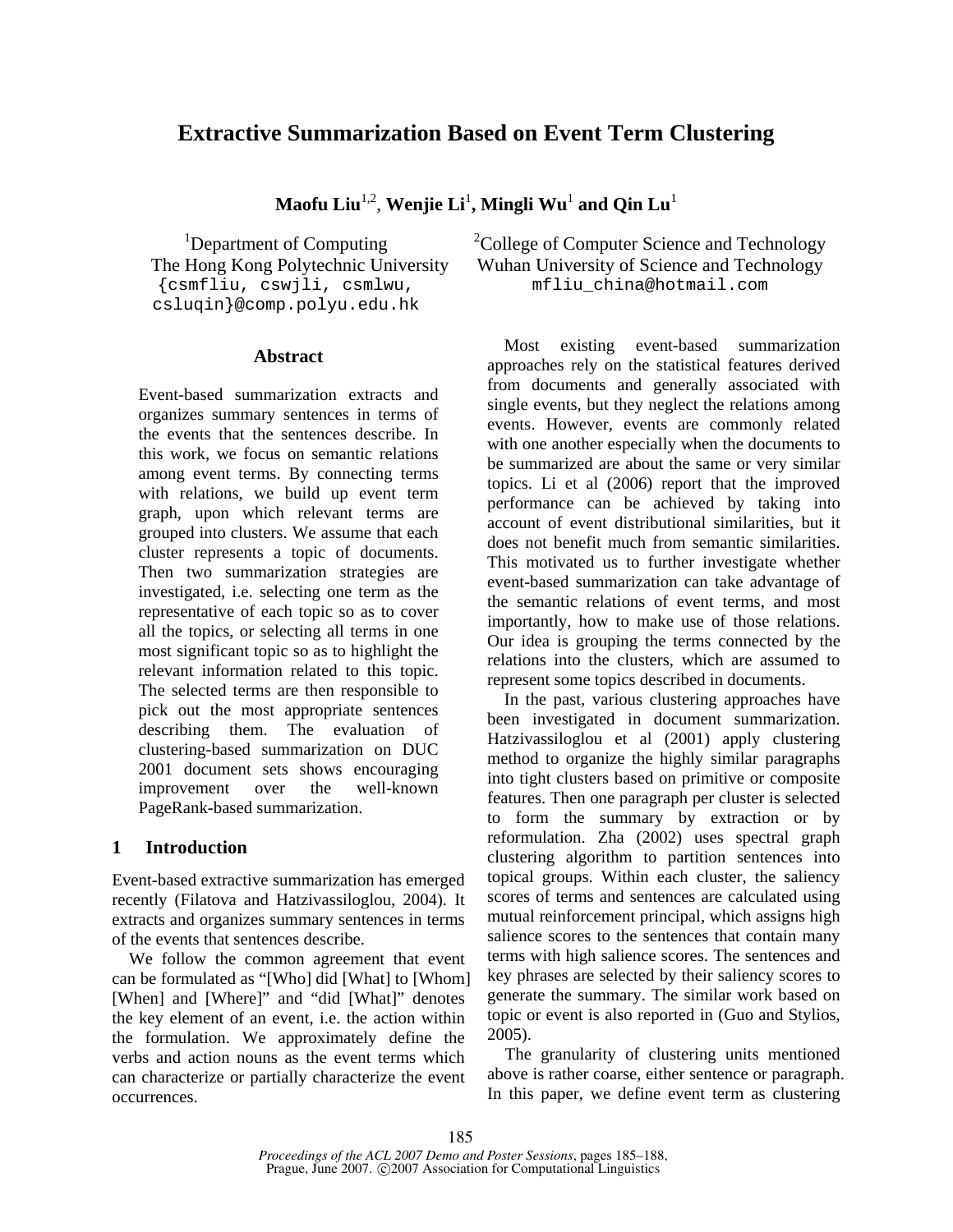# **Extractive Summarization Based on Event Term Clustering**

 $\mathbf{M}$ aofu Liu $^{1,2}$ , Wenjie Li $^{1}$ , Mingli Wu $^{1}$  and Qin Lu $^{1}$ 

<sup>1</sup>Department of Computing The Hong Kong Polytechnic University {csmfliu, cswjli, csmlwu, csluqin}@comp.polyu.edu.hk

### **Abstract**

Event-based summarization extracts and organizes summary sentences in terms of the events that the sentences describe. In this work, we focus on semantic relations among event terms. By connecting terms with relations, we build up event term graph, upon which relevant terms are grouped into clusters. We assume that each cluster represents a topic of documents. Then two summarization strategies are investigated, i.e. selecting one term as the representative of each topic so as to cover all the topics, or selecting all terms in one most significant topic so as to highlight the relevant information related to this topic. The selected terms are then responsible to pick out the most appropriate sentences describing them. The evaluation of clustering-based summarization on DUC 2001 document sets shows encouraging improvement over the well-known PageRank-based summarization.

# **1 Introduction**

Event-based extractive summarization has emerged recently (Filatova and Hatzivassiloglou, 2004). It extracts and organizes summary sentences in terms of the events that sentences describe.

We follow the common agreement that event can be formulated as "[Who] did [What] to [Whom] [When] and [Where]" and "did [What]" denotes the key element of an event, i.e. the action within the formulation. We approximately define the verbs and action nouns as the event terms which can characterize or partially characterize the event occurrences.

<sup>2</sup>College of Computer Science and Technology Wuhan University of Science and Technology mfliu\_china@hotmail.com

Most existing event-based summarization approaches rely on the statistical features derived from documents and generally associated with single events, but they neglect the relations among events. However, events are commonly related with one another especially when the documents to be summarized are about the same or very similar topics. Li et al (2006) report that the improved performance can be achieved by taking into account of event distributional similarities, but it does not benefit much from semantic similarities. This motivated us to further investigate whether event-based summarization can take advantage of the semantic relations of event terms, and most importantly, how to make use of those relations. Our idea is grouping the terms connected by the relations into the clusters, which are assumed to represent some topics described in documents.

In the past, various clustering approaches have been investigated in document summarization. Hatzivassiloglou et al (2001) apply clustering method to organize the highly similar paragraphs into tight clusters based on primitive or composite features. Then one paragraph per cluster is selected to form the summary by extraction or by reformulation. Zha (2002) uses spectral graph clustering algorithm to partition sentences into topical groups. Within each cluster, the saliency scores of terms and sentences are calculated using mutual reinforcement principal, which assigns high salience scores to the sentences that contain many terms with high salience scores. The sentences and key phrases are selected by their saliency scores to generate the summary. The similar work based on topic or event is also reported in (Guo and Stylios, 2005).

The granularity of clustering units mentioned above is rather coarse, either sentence or paragraph. In this paper, we define event term as clustering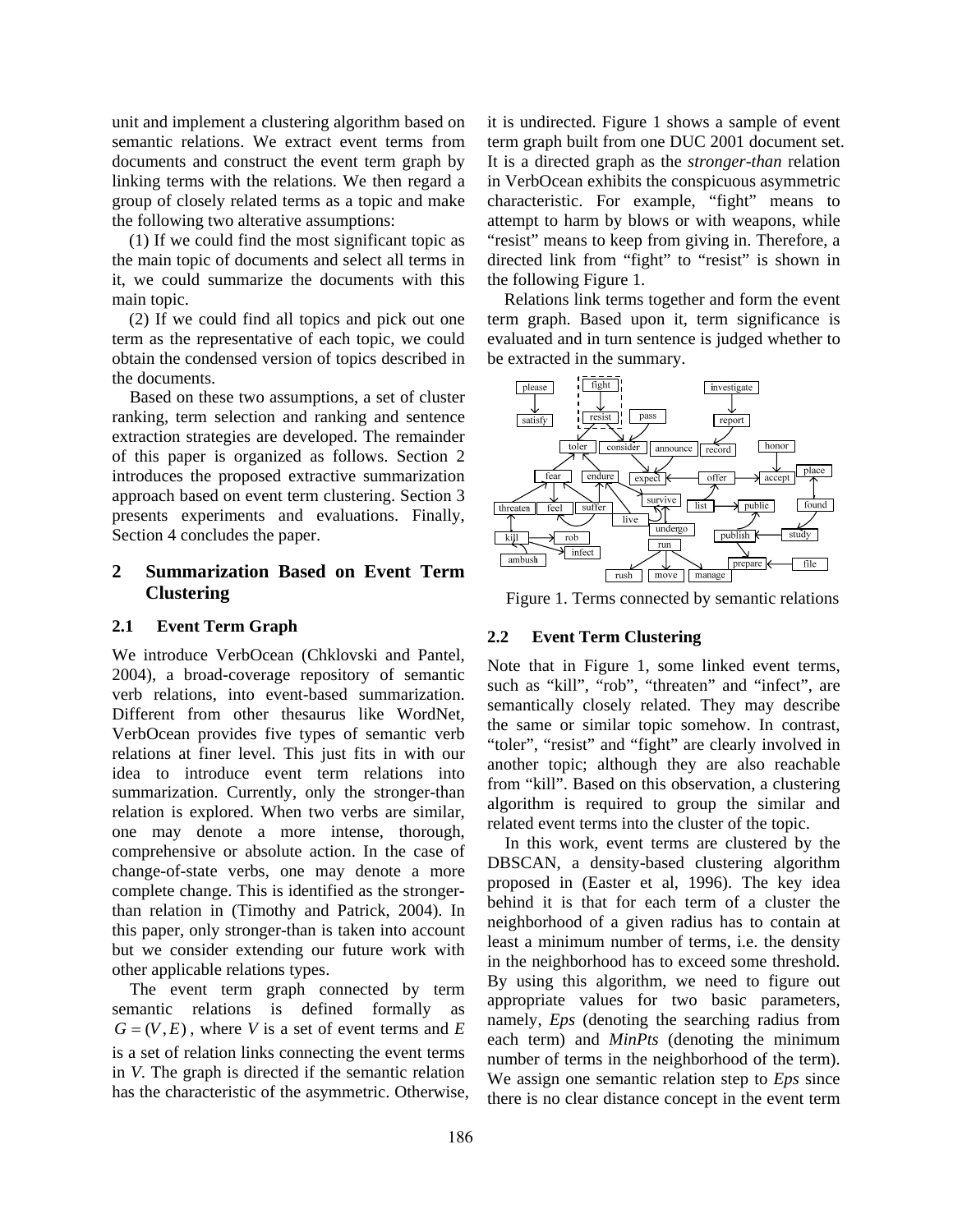unit and implement a clustering algorithm based on semantic relations. We extract event terms from documents and construct the event term graph by linking terms with the relations. We then regard a group of closely related terms as a topic and make the following two alterative assumptions:

(1) If we could find the most significant topic as the main topic of documents and select all terms in it, we could summarize the documents with this main topic.

(2) If we could find all topics and pick out one term as the representative of each topic, we could obtain the condensed version of topics described in the documents.

Based on these two assumptions, a set of cluster ranking, term selection and ranking and sentence extraction strategies are developed. The remainder of this paper is organized as follows. Section 2 introduces the proposed extractive summarization approach based on event term clustering. Section 3 presents experiments and evaluations. Finally, Section 4 concludes the paper.

# **2 Summarization Based on Event Term Clustering**

### **2.1 Event Term Graph**

We introduce VerbOcean (Chklovski and Pantel, 2004), a broad-coverage repository of semantic verb relations, into event-based summarization. Different from other thesaurus like WordNet, VerbOcean provides five types of semantic verb relations at finer level. This just fits in with our idea to introduce event term relations into summarization. Currently, only the stronger-than relation is explored. When two verbs are similar, one may denote a more intense, thorough, comprehensive or absolute action. In the case of change-of-state verbs, one may denote a more complete change. This is identified as the strongerthan relation in (Timothy and Patrick, 2004). In this paper, only stronger-than is taken into account but we consider extending our future work with other applicable relations types.

The event term graph connected by term semantic relations is defined formally as  $G = (V, E)$ , where *V* is a set of event terms and *E* is a set of relation links connecting the event terms in *V*. The graph is directed if the semantic relation has the characteristic of the asymmetric. Otherwise, it is undirected. Figure 1 shows a sample of event term graph built from one DUC 2001 document set. It is a directed graph as the *stronger-than* relation in VerbOcean exhibits the conspicuous asymmetric characteristic. For example, "fight" means to attempt to harm by blows or with weapons, while "resist" means to keep from giving in. Therefore, a directed link from "fight" to "resist" is shown in the following Figure 1.

Relations link terms together and form the event term graph. Based upon it, term significance is evaluated and in turn sentence is judged whether to be extracted in the summary.



Figure 1. Terms connected by semantic relations

### **2.2 Event Term Clustering**

Note that in Figure 1, some linked event terms, such as "kill", "rob", "threaten" and "infect", are semantically closely related. They may describe the same or similar topic somehow. In contrast, "toler", "resist" and "fight" are clearly involved in another topic; although they are also reachable from "kill". Based on this observation, a clustering algorithm is required to group the similar and related event terms into the cluster of the topic.

In this work, event terms are clustered by the DBSCAN, a density-based clustering algorithm proposed in (Easter et al, 1996). The key idea behind it is that for each term of a cluster the neighborhood of a given radius has to contain at least a minimum number of terms, i.e. the density in the neighborhood has to exceed some threshold. By using this algorithm, we need to figure out appropriate values for two basic parameters, namely, *Eps* (denoting the searching radius from each term) and *MinPts* (denoting the minimum number of terms in the neighborhood of the term). We assign one semantic relation step to *Eps* since there is no clear distance concept in the event term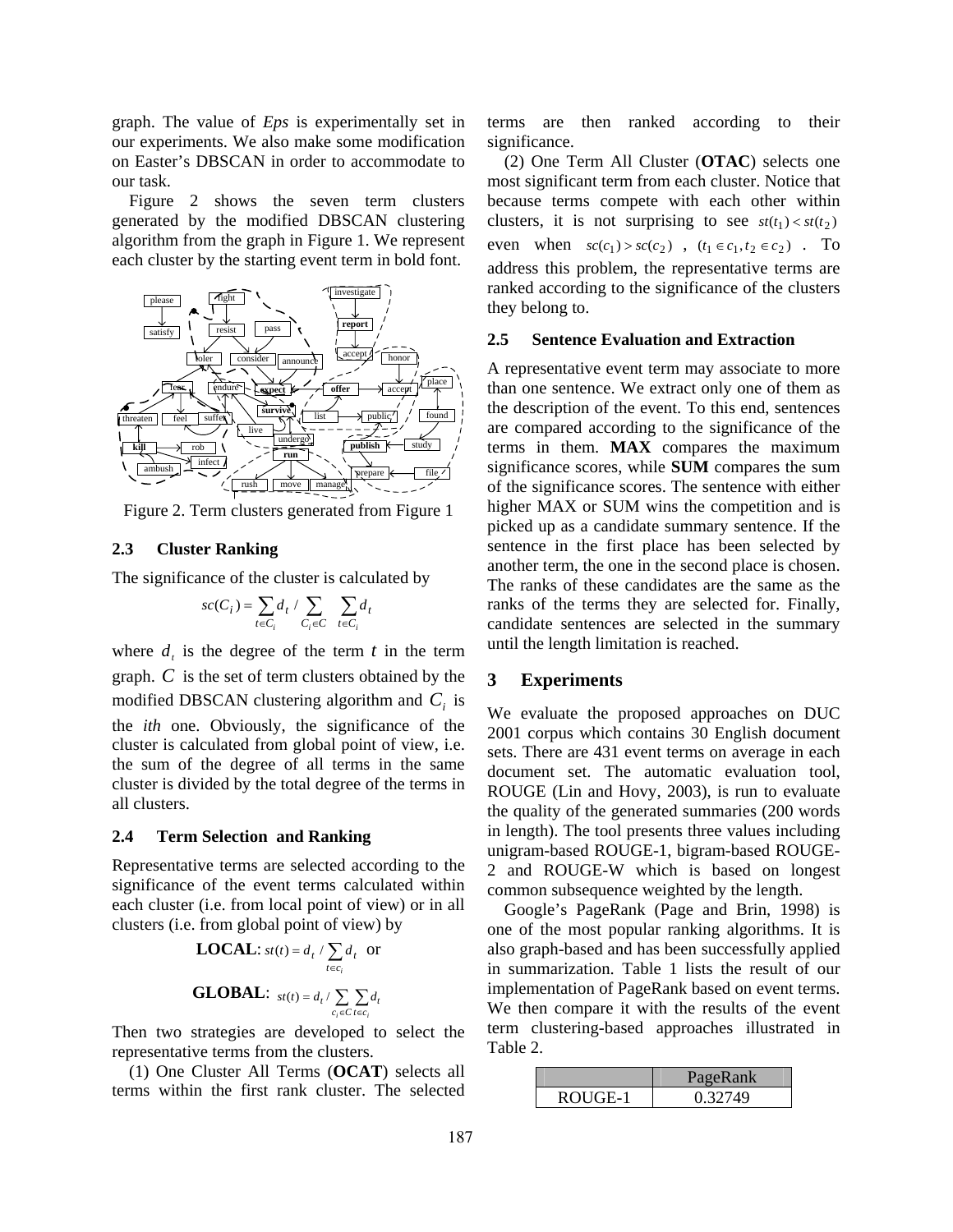graph. The value of *Eps* is experimentally set in our experiments. We also make some modification on Easter's DBSCAN in order to accommodate to our task.

Figure 2 shows the seven term clusters generated by the modified DBSCAN clustering algorithm from the graph in Figure 1. We represent each cluster by the starting event term in bold font.



Figure 2. Term clusters generated from Figure 1

#### **2.3 Cluster Ranking**

The significance of the cluster is calculated by

$$
sc(C_i) = \sum_{t \in C_i} d_t / \sum_{C_i \in C} \sum_{t \in C_i} d_t
$$

where  $d_t$  is the degree of the term  $t$  in the term graph. *C* is the set of term clusters obtained by the modified DBSCAN clustering algorithm and  $C_i$  is the *ith* one. Obviously, the significance of the cluster is calculated from global point of view, i.e. the sum of the degree of all terms in the same cluster is divided by the total degree of the terms in all clusters.

#### **2.4 Term Selection and Ranking**

Representative terms are selected according to the significance of the event terms calculated within each cluster (i.e. from local point of view) or in all clusters (i.e. from global point of view) by

**LOCAL:** 
$$
st(t) = d_t / \sum_{t \in c_i} d_t
$$
 or  
**GLOBAL:**  $st(t) = d_t / \sum_{c_i \in C} \sum_{t \in c_i} d_t$ 

Then two strategies are developed to select the representative terms from the clusters.

(1) One Cluster All Terms (**OCAT**) selects all terms within the first rank cluster. The selected terms are then ranked according to their significance.

(2) One Term All Cluster (**OTAC**) selects one most significant term from each cluster. Notice that because terms compete with each other within clusters, it is not surprising to see  $st(t_1) < st(t_2)$ even when  $sc(c_1) > sc(c_2)$ ,  $(t_1 \in c_1, t_2 \in c_2)$ . To address this problem, the representative terms are ranked according to the significance of the clusters they belong to.

#### **2.5 Sentence Evaluation and Extraction**

A representative event term may associate to more than one sentence. We extract only one of them as the description of the event. To this end, sentences are compared according to the significance of the terms in them. **MAX** compares the maximum significance scores, while **SUM** compares the sum of the significance scores. The sentence with either higher MAX or SUM wins the competition and is picked up as a candidate summary sentence. If the sentence in the first place has been selected by another term, the one in the second place is chosen. The ranks of these candidates are the same as the ranks of the terms they are selected for. Finally, candidate sentences are selected in the summary until the length limitation is reached.

#### **3 Experiments**

We evaluate the proposed approaches on DUC 2001 corpus which contains 30 English document sets. There are 431 event terms on average in each document set. The automatic evaluation tool, ROUGE (Lin and Hovy, 2003), is run to evaluate the quality of the generated summaries (200 words in length). The tool presents three values including unigram-based ROUGE-1, bigram-based ROUGE-2 and ROUGE-W which is based on longest common subsequence weighted by the length.

Google's PageRank (Page and Brin, 1998) is one of the most popular ranking algorithms. It is also graph-based and has been successfully applied in summarization. Table 1 lists the result of our implementation of PageRank based on event terms. We then compare it with the results of the event term clustering-based approaches illustrated in Table 2.

|         | PageRank |
|---------|----------|
| ROUGE-1 | 0.32749  |